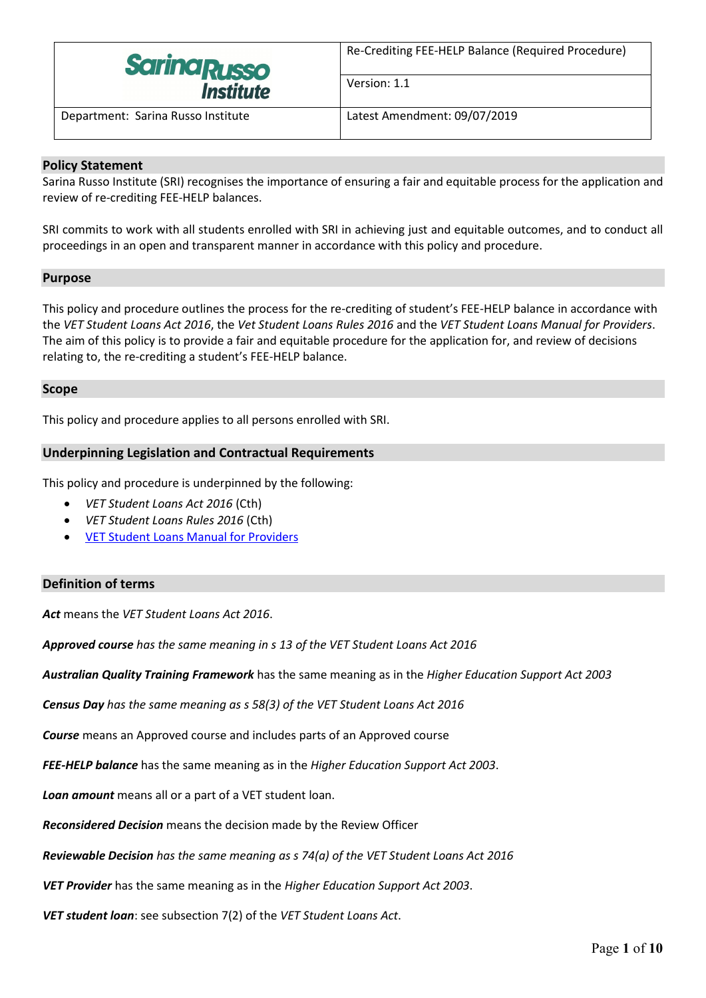

Re-Crediting FEE-HELP Balance (Required Procedure)

Version: 1.1

Department: Sarina Russo Institute Latest Amendment: 09/07/2019

## **Policy Statement**

Sarina Russo Institute (SRI) recognises the importance of ensuring a fair and equitable process for the application and review of re-crediting FEE-HELP balances.

SRI commits to work with all students enrolled with SRI in achieving just and equitable outcomes, and to conduct all proceedings in an open and transparent manner in accordance with this policy and procedure.

#### **Purpose**

This policy and procedure outlines the process for the re-crediting of student's FEE-HELP balance in accordance with the *VET Student Loans Act 2016*, the *Vet Student Loans Rules 2016* and the *VET Student Loans Manual for Providers*. The aim of this policy is to provide a fair and equitable procedure for the application for, and review of decisions relating to, the re-crediting a student's FEE-HELP balance.

#### **Scope**

This policy and procedure applies to all persons enrolled with SRI.

## **Underpinning Legislation and Contractual Requirements**

This policy and procedure is underpinned by the following:

- *VET Student Loans Act 2016* (Cth)
- *VET Student Loans Rules 2016* (Cth)
- [VET Student Loans Manual for Providers](https://docs.education.gov.au/system/files/doc/other/provider_manual_-_3.0.pdf)

## **Definition of terms**

*Act* means the *VET Student Loans Act 2016*.

*Approved course has the same meaning in s 13 of the VET Student Loans Act 2016*

*Australian Quality Training Framework* has the same meaning as in the *Higher Education Support Act 2003*

*Census Day has the same meaning as s 58(3) of the VET Student Loans Act 2016*

*Course* means an Approved course and includes parts of an Approved course

*FEE-HELP balance* has the same meaning as in the *Higher Education Support Act 2003*.

*Loan amount* means all or a part of a VET student loan.

*Reconsidered Decision* means the decision made by the Review Officer

*Reviewable Decision has the same meaning as s 74(a) of the VET Student Loans Act 2016*

*VET Provider* has the same meaning as in the *Higher Education Support Act 2003*.

*VET student loan*: see subsection 7(2) of the *VET Student Loans Act*.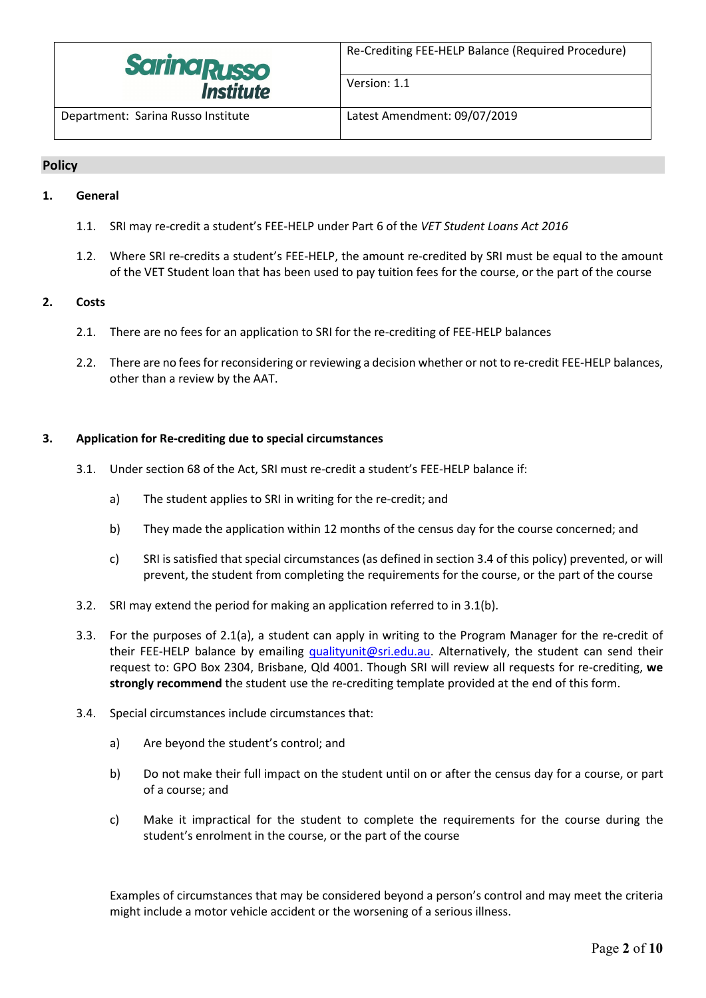

Re-Crediting FEE-HELP Balance (Required Procedure)

Version: 1.1

Department: Sarina Russo Institute Latest Amendment: 09/07/2019

## **Policy**

## **1. General**

- 1.1. SRI may re-credit a student's FEE-HELP under Part 6 of the *VET Student Loans Act 2016*
- 1.2. Where SRI re-credits a student's FEE-HELP, the amount re-credited by SRI must be equal to the amount of the VET Student loan that has been used to pay tuition fees for the course, or the part of the course

## **2. Costs**

- 2.1. There are no fees for an application to SRI for the re-crediting of FEE-HELP balances
- 2.2. There are no fees for reconsidering or reviewing a decision whether or not to re-credit FEE-HELP balances, other than a review by the AAT.

## **3. Application for Re-crediting due to special circumstances**

- 3.1. Under section 68 of the Act, SRI must re-credit a student's FEE-HELP balance if:
	- a) The student applies to SRI in writing for the re-credit; and
	- b) They made the application within 12 months of the census day for the course concerned; and
	- c) SRI is satisfied that special circumstances (as defined in section 3.4 of this policy) prevented, or will prevent, the student from completing the requirements for the course, or the part of the course
- 3.2. SRI may extend the period for making an application referred to in 3.1(b).
- 3.3. For the purposes of 2.1(a), a student can apply in writing to the Program Manager for the re-credit of their FEE-HELP balance by emailing [qualityunit@sri.edu.au.](mailto:qualityunit@sri.edu.au) Alternatively, the student can send their request to: GPO Box 2304, Brisbane, Qld 4001. Though SRI will review all requests for re-crediting, **we strongly recommend** the student use the re-crediting template provided at the end of this form.
- 3.4. Special circumstances include circumstances that:
	- a) Are beyond the student's control; and
	- b) Do not make their full impact on the student until on or after the census day for a course, or part of a course; and
	- c) Make it impractical for the student to complete the requirements for the course during the student's enrolment in the course, or the part of the course

Examples of circumstances that may be considered beyond a person's control and may meet the criteria might include a motor vehicle accident or the worsening of a serious illness.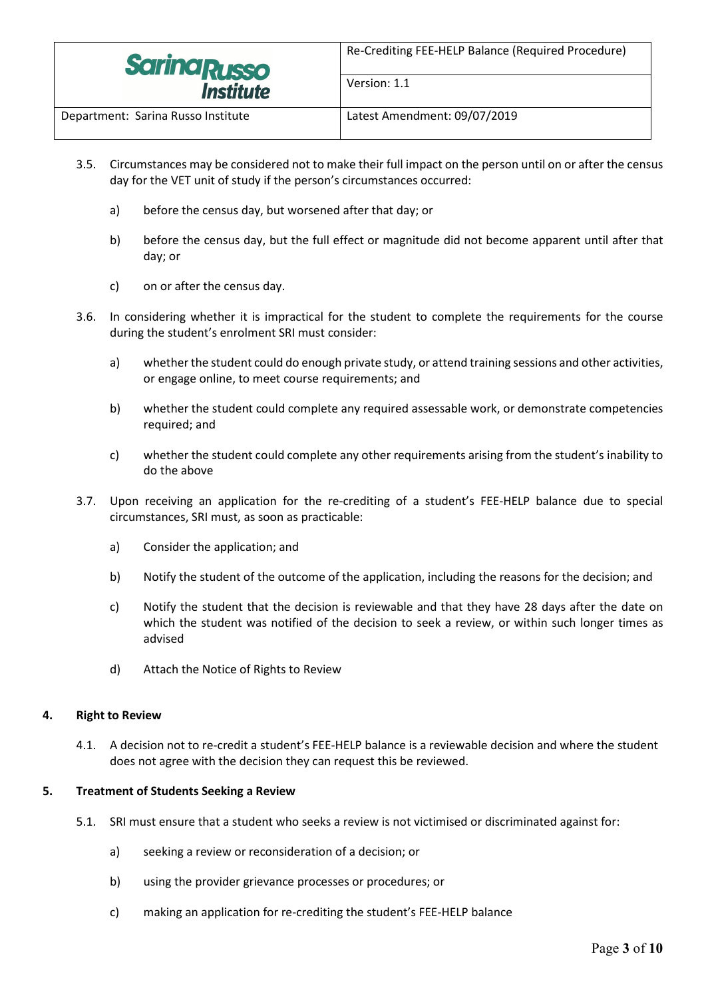

- 3.5. Circumstances may be considered not to make their full impact on the person until on or after the census day for the VET unit of study if the person's circumstances occurred:
	- a) before the census day, but worsened after that day; or
	- b) before the census day, but the full effect or magnitude did not become apparent until after that day; or
	- c) on or after the census day.
- 3.6. In considering whether it is impractical for the student to complete the requirements for the course during the student's enrolment SRI must consider:
	- a) whether the student could do enough private study, or attend training sessions and other activities, or engage online, to meet course requirements; and
	- b) whether the student could complete any required assessable work, or demonstrate competencies required; and
	- c) whether the student could complete any other requirements arising from the student's inability to do the above
- 3.7. Upon receiving an application for the re-crediting of a student's FEE-HELP balance due to special circumstances, SRI must, as soon as practicable:
	- a) Consider the application; and
	- b) Notify the student of the outcome of the application, including the reasons for the decision; and
	- c) Notify the student that the decision is reviewable and that they have 28 days after the date on which the student was notified of the decision to seek a review, or within such longer times as advised
	- d) Attach the Notice of Rights to Review

## **4. Right to Review**

4.1. A decision not to re-credit a student's FEE-HELP balance is a reviewable decision and where the student does not agree with the decision they can request this be reviewed.

## **5. Treatment of Students Seeking a Review**

- 5.1. SRI must ensure that a student who seeks a review is not victimised or discriminated against for:
	- a) seeking a review or reconsideration of a decision; or
	- b) using the provider grievance processes or procedures; or
	- c) making an application for re-crediting the student's FEE-HELP balance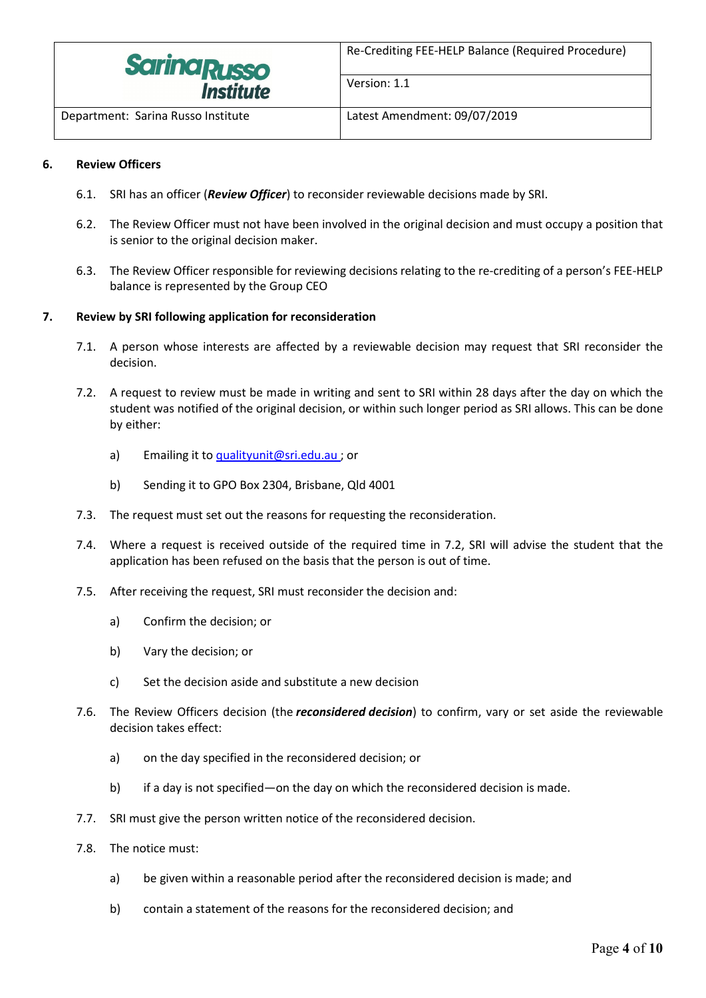

Version: 1.1

Department: Sarina Russo Institute Latest Amendment: 09/07/2019

## **6. Review Officers**

- 6.1. SRI has an officer (*Review Officer*) to reconsider reviewable decisions made by SRI.
- 6.2. The Review Officer must not have been involved in the original decision and must occupy a position that is senior to the original decision maker.
- 6.3. The Review Officer responsible for reviewing decisions relating to the re-crediting of a person's FEE-HELP balance is represented by the Group CEO

## **7. Review by SRI following application for reconsideration**

- 7.1. A person whose interests are affected by a reviewable decision may request that SRI reconsider the decision.
- 7.2. A request to review must be made in writing and sent to SRI within 28 days after the day on which the student was notified of the original decision, or within such longer period as SRI allows. This can be done by either:
	- a) Emailing it to [qualityunit@sri.edu.au](mailto:qualityunit@sri.edu.au) ; or
	- b) Sending it to GPO Box 2304, Brisbane, Qld 4001
- 7.3. The request must set out the reasons for requesting the reconsideration.
- 7.4. Where a request is received outside of the required time in 7.2, SRI will advise the student that the application has been refused on the basis that the person is out of time.
- 7.5. After receiving the request, SRI must reconsider the decision and:
	- a) Confirm the decision; or
	- b) Vary the decision; or
	- c) Set the decision aside and substitute a new decision
- 7.6. The Review Officers decision (the *reconsidered decision*) to confirm, vary or set aside the reviewable decision takes effect:
	- a) on the day specified in the reconsidered decision; or
	- b) if a day is not specified—on the day on which the reconsidered decision is made.
- 7.7. SRI must give the person written notice of the reconsidered decision.
- 7.8. The notice must:
	- a) be given within a reasonable period after the reconsidered decision is made; and
	- b) contain a statement of the reasons for the reconsidered decision; and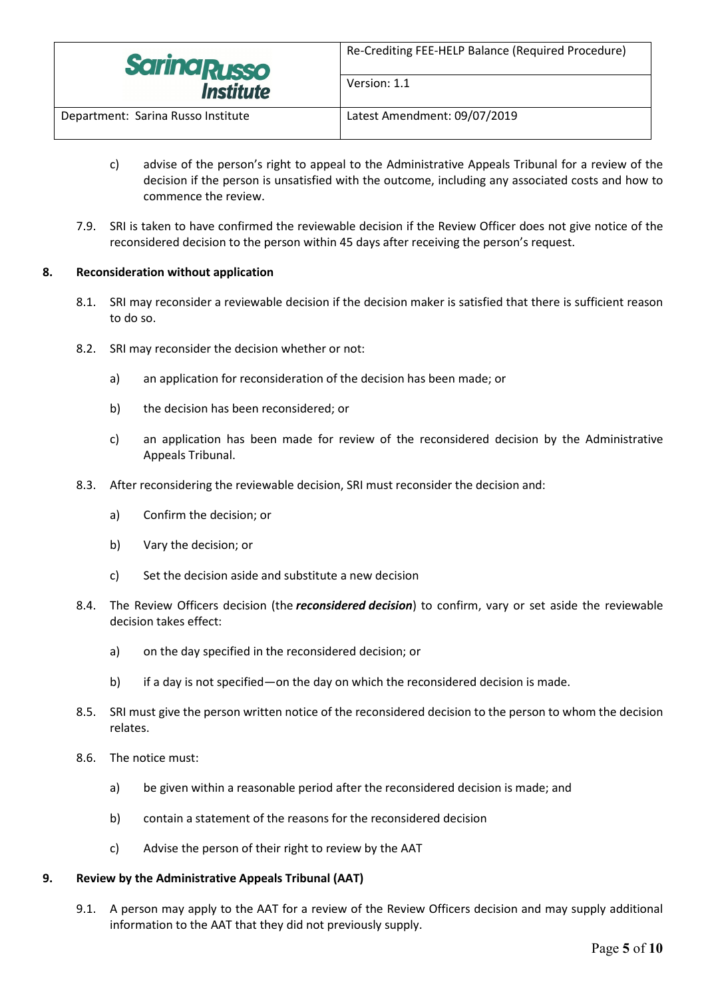

Department: Sarina Russo Institute Latest Amendment: 09/07/2019

- c) advise of the person's right to appeal to the Administrative Appeals Tribunal for a review of the decision if the person is unsatisfied with the outcome, including any associated costs and how to commence the review.
- 7.9. SRI is taken to have confirmed the reviewable decision if the Review Officer does not give notice of the reconsidered decision to the person within 45 days after receiving the person's request.

## **8. Reconsideration without application**

- 8.1. SRI may reconsider a reviewable decision if the decision maker is satisfied that there is sufficient reason to do so.
- 8.2. SRI may reconsider the decision whether or not:
	- a) an application for reconsideration of the decision has been made; or
	- b) the decision has been reconsidered; or
	- c) an application has been made for review of the reconsidered decision by the Administrative Appeals Tribunal.
- 8.3. After reconsidering the reviewable decision, SRI must reconsider the decision and:
	- a) Confirm the decision; or
	- b) Vary the decision; or
	- c) Set the decision aside and substitute a new decision
- 8.4. The Review Officers decision (the *reconsidered decision*) to confirm, vary or set aside the reviewable decision takes effect:
	- a) on the day specified in the reconsidered decision; or
	- b) if a day is not specified—on the day on which the reconsidered decision is made.
- 8.5. SRI must give the person written notice of the reconsidered decision to the person to whom the decision relates.
- 8.6. The notice must:
	- a) be given within a reasonable period after the reconsidered decision is made; and
	- b) contain a statement of the reasons for the reconsidered decision
	- c) Advise the person of their right to review by the AAT

## **9. Review by the Administrative Appeals Tribunal (AAT)**

9.1. A person may apply to the AAT for a review of the Review Officers decision and may supply additional information to the AAT that they did not previously supply.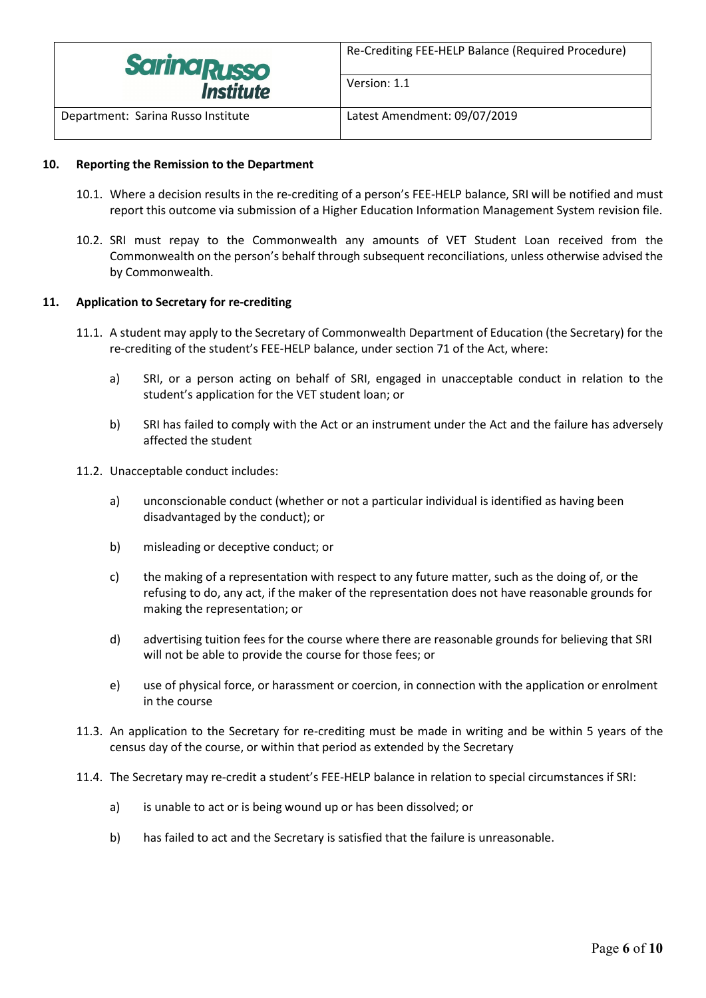

Version: 1.1

Department: Sarina Russo Institute Latest Amendment: 09/07/2019

## **10. Reporting the Remission to the Department**

- 10.1. Where a decision results in the re-crediting of a person's FEE-HELP balance, SRI will be notified and must report this outcome via submission of a Higher Education Information Management System revision file.
- 10.2. SRI must repay to the Commonwealth any amounts of VET Student Loan received from the Commonwealth on the person's behalf through subsequent reconciliations, unless otherwise advised the by Commonwealth.

#### **11. Application to Secretary for re-crediting**

- 11.1. A student may apply to the Secretary of Commonwealth Department of Education (the Secretary) for the re-crediting of the student's FEE-HELP balance, under section 71 of the Act, where:
	- a) SRI, or a person acting on behalf of SRI, engaged in unacceptable conduct in relation to the student's application for the VET student loan; or
	- b) SRI has failed to comply with the Act or an instrument under the Act and the failure has adversely affected the student
- 11.2. Unacceptable conduct includes:
	- a) unconscionable conduct (whether or not a particular individual is identified as having been disadvantaged by the conduct); or
	- b) misleading or deceptive conduct; or
	- c) the making of a representation with respect to any future matter, such as the doing of, or the refusing to do, any act, if the maker of the representation does not have reasonable grounds for making the representation; or
	- d) advertising tuition fees for the course where there are reasonable grounds for believing that SRI will not be able to provide the course for those fees; or
	- e) use of physical force, or harassment or coercion, in connection with the application or enrolment in the course
- 11.3. An application to the Secretary for re-crediting must be made in writing and be within 5 years of the census day of the course, or within that period as extended by the Secretary
- 11.4. The Secretary may re-credit a student's FEE-HELP balance in relation to special circumstances if SRI:
	- a) is unable to act or is being wound up or has been dissolved; or
	- b) has failed to act and the Secretary is satisfied that the failure is unreasonable.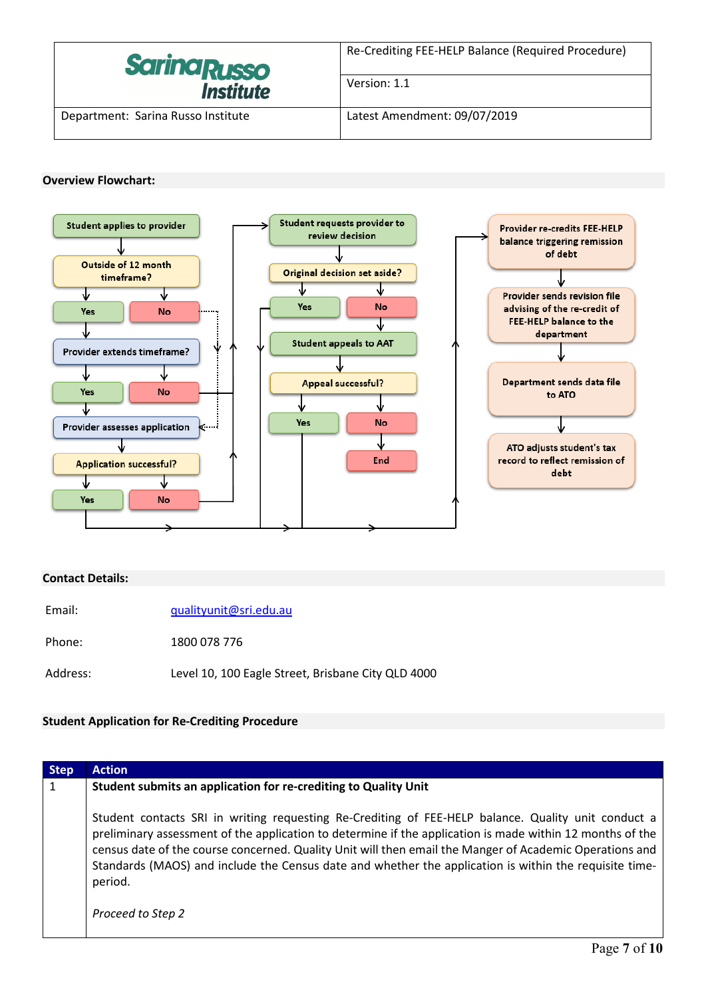

#### **Overview Flowchart:**



## **Contact Details:**

Email: [qualityunit@sri.edu.au](mailto:qualityunit@sri.edu.au)

Phone: 1800 078 776

Address: Level 10, 100 Eagle Street, Brisbane City QLD 4000

## **Student Application for Re-Crediting Procedure**

| <b>Step</b> | <b>Action</b>                                                                                                                                                                                                                                                                                                                                                                                                                                    |  |  |  |
|-------------|--------------------------------------------------------------------------------------------------------------------------------------------------------------------------------------------------------------------------------------------------------------------------------------------------------------------------------------------------------------------------------------------------------------------------------------------------|--|--|--|
| 1           | Student submits an application for re-crediting to Quality Unit                                                                                                                                                                                                                                                                                                                                                                                  |  |  |  |
|             | Student contacts SRI in writing requesting Re-Crediting of FEE-HELP balance. Quality unit conduct a<br>preliminary assessment of the application to determine if the application is made within 12 months of the<br>census date of the course concerned. Quality Unit will then email the Manger of Academic Operations and<br>Standards (MAOS) and include the Census date and whether the application is within the requisite time-<br>period. |  |  |  |
|             | Proceed to Step 2                                                                                                                                                                                                                                                                                                                                                                                                                                |  |  |  |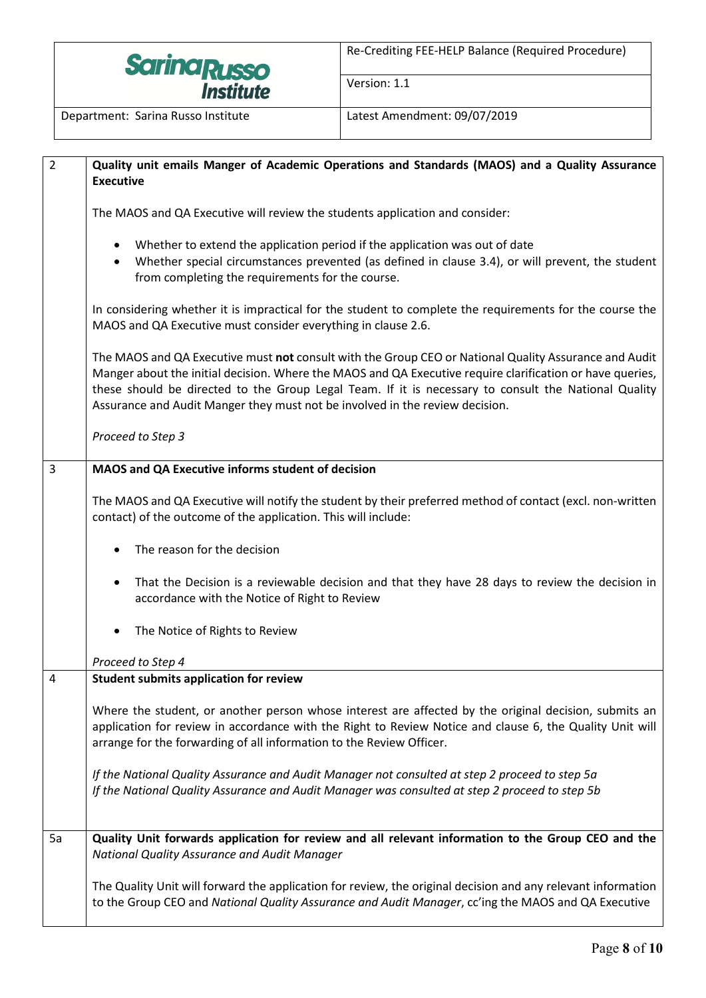

Re-Crediting FEE-HELP Balance (Required Procedure)

Version: 1.1

Department: Sarina Russo Institute Latest Amendment: 09/07/2019

| $\overline{2}$ | Quality unit emails Manger of Academic Operations and Standards (MAOS) and a Quality Assurance<br><b>Executive</b>                                                                                                                                                                                                                                                                                         |  |  |  |  |  |  |
|----------------|------------------------------------------------------------------------------------------------------------------------------------------------------------------------------------------------------------------------------------------------------------------------------------------------------------------------------------------------------------------------------------------------------------|--|--|--|--|--|--|
|                |                                                                                                                                                                                                                                                                                                                                                                                                            |  |  |  |  |  |  |
|                | The MAOS and QA Executive will review the students application and consider:                                                                                                                                                                                                                                                                                                                               |  |  |  |  |  |  |
|                | Whether to extend the application period if the application was out of date<br>$\bullet$<br>Whether special circumstances prevented (as defined in clause 3.4), or will prevent, the student<br>$\bullet$<br>from completing the requirements for the course.                                                                                                                                              |  |  |  |  |  |  |
|                | In considering whether it is impractical for the student to complete the requirements for the course the<br>MAOS and QA Executive must consider everything in clause 2.6.                                                                                                                                                                                                                                  |  |  |  |  |  |  |
|                | The MAOS and QA Executive must not consult with the Group CEO or National Quality Assurance and Audit<br>Manger about the initial decision. Where the MAOS and QA Executive require clarification or have queries,<br>these should be directed to the Group Legal Team. If it is necessary to consult the National Quality<br>Assurance and Audit Manger they must not be involved in the review decision. |  |  |  |  |  |  |
|                | Proceed to Step 3                                                                                                                                                                                                                                                                                                                                                                                          |  |  |  |  |  |  |
| 3              | MAOS and QA Executive informs student of decision                                                                                                                                                                                                                                                                                                                                                          |  |  |  |  |  |  |
|                | The MAOS and QA Executive will notify the student by their preferred method of contact (excl. non-written<br>contact) of the outcome of the application. This will include:                                                                                                                                                                                                                                |  |  |  |  |  |  |
|                | The reason for the decision                                                                                                                                                                                                                                                                                                                                                                                |  |  |  |  |  |  |
|                | That the Decision is a reviewable decision and that they have 28 days to review the decision in<br>accordance with the Notice of Right to Review                                                                                                                                                                                                                                                           |  |  |  |  |  |  |
|                | The Notice of Rights to Review<br>$\bullet$                                                                                                                                                                                                                                                                                                                                                                |  |  |  |  |  |  |
|                | Proceed to Step 4                                                                                                                                                                                                                                                                                                                                                                                          |  |  |  |  |  |  |
| 4              | <b>Student submits application for review</b>                                                                                                                                                                                                                                                                                                                                                              |  |  |  |  |  |  |
|                | Where the student, or another person whose interest are affected by the original decision, submits an<br>application for review in accordance with the Right to Review Notice and clause 6, the Quality Unit will<br>arrange for the forwarding of all information to the Review Officer.                                                                                                                  |  |  |  |  |  |  |
|                | If the National Quality Assurance and Audit Manager not consulted at step 2 proceed to step 5a<br>If the National Quality Assurance and Audit Manager was consulted at step 2 proceed to step 5b                                                                                                                                                                                                           |  |  |  |  |  |  |
| 5a             | Quality Unit forwards application for review and all relevant information to the Group CEO and the<br>National Quality Assurance and Audit Manager                                                                                                                                                                                                                                                         |  |  |  |  |  |  |
|                | The Quality Unit will forward the application for review, the original decision and any relevant information<br>to the Group CEO and National Quality Assurance and Audit Manager, cc'ing the MAOS and QA Executive                                                                                                                                                                                        |  |  |  |  |  |  |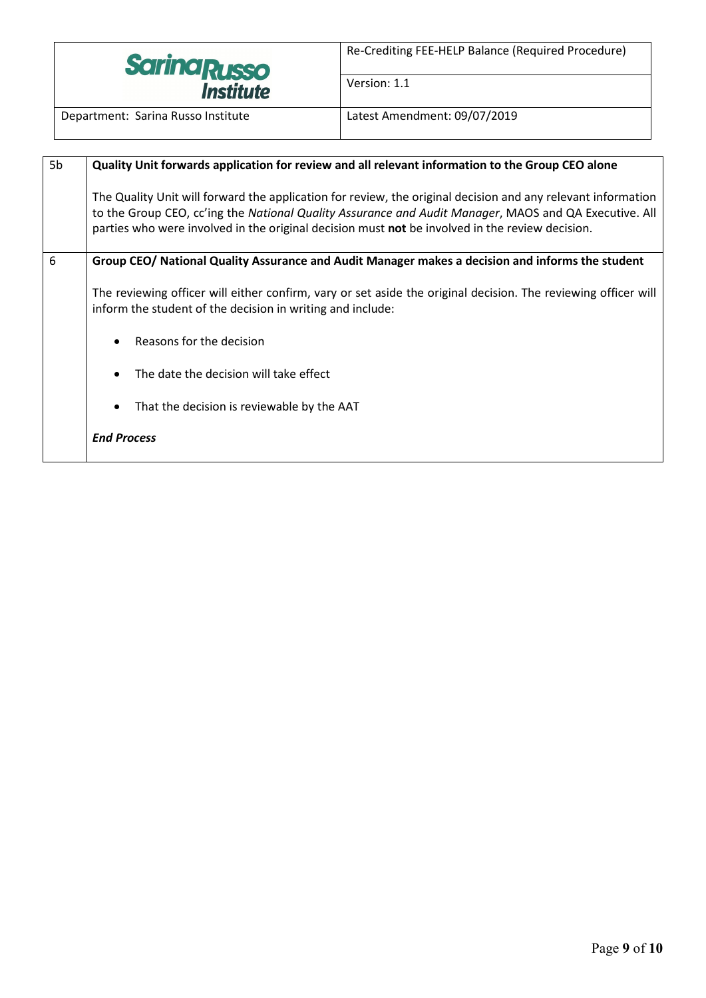

Version: 1.1

Department: Sarina Russo Institute Latest Amendment: 09/07/2019

| 5b | Quality Unit forwards application for review and all relevant information to the Group CEO alone               |  |  |  |  |  |  |
|----|----------------------------------------------------------------------------------------------------------------|--|--|--|--|--|--|
|    |                                                                                                                |  |  |  |  |  |  |
|    | The Quality Unit will forward the application for review, the original decision and any relevant information   |  |  |  |  |  |  |
|    |                                                                                                                |  |  |  |  |  |  |
|    | to the Group CEO, cc'ing the National Quality Assurance and Audit Manager, MAOS and QA Executive. All          |  |  |  |  |  |  |
|    | parties who were involved in the original decision must not be involved in the review decision.                |  |  |  |  |  |  |
|    |                                                                                                                |  |  |  |  |  |  |
| 6  | Group CEO/ National Quality Assurance and Audit Manager makes a decision and informs the student               |  |  |  |  |  |  |
|    |                                                                                                                |  |  |  |  |  |  |
|    | The reviewing officer will either confirm, vary or set aside the original decision. The reviewing officer will |  |  |  |  |  |  |
|    | inform the student of the decision in writing and include:                                                     |  |  |  |  |  |  |
|    |                                                                                                                |  |  |  |  |  |  |
|    |                                                                                                                |  |  |  |  |  |  |
|    | Reasons for the decision                                                                                       |  |  |  |  |  |  |
|    |                                                                                                                |  |  |  |  |  |  |
|    | The date the decision will take effect                                                                         |  |  |  |  |  |  |
|    |                                                                                                                |  |  |  |  |  |  |
|    | That the decision is reviewable by the AAT                                                                     |  |  |  |  |  |  |
|    |                                                                                                                |  |  |  |  |  |  |
|    |                                                                                                                |  |  |  |  |  |  |
|    | <b>End Process</b>                                                                                             |  |  |  |  |  |  |
|    |                                                                                                                |  |  |  |  |  |  |